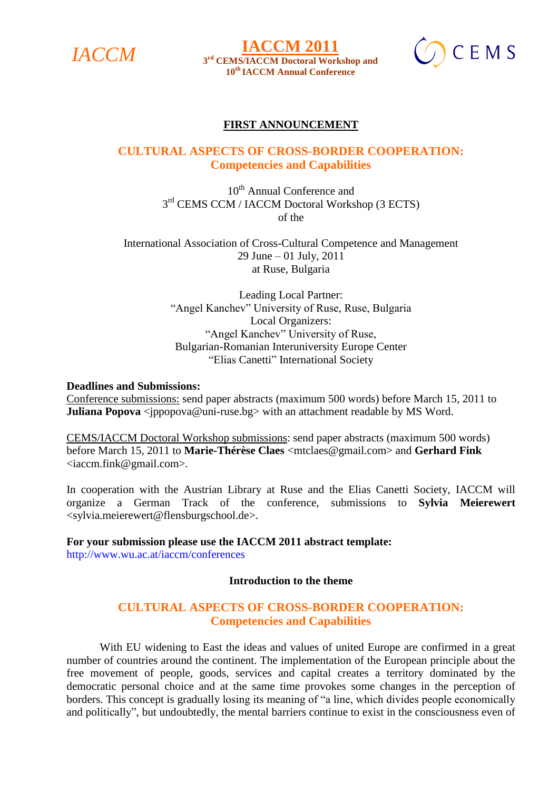

 $IACCM$  **IACCM 2011 10th IACCM Annual Conference**



### **FIRST ANNOUNCEMENT**

# **CULTURAL ASPECTS OF CROSS-BORDER COOPERATION: Competencies and Capabilities**

10<sup>th</sup> Annual Conference and 3<sup>rd</sup> CEMS CCM / IACCM Doctoral Workshop (3 ECTS) of the

International Association of Cross-Cultural Competence and Management 29 June – 01 July, 2011 at Ruse, Bulgaria

> Leading Local Partner: "Angel Kanchev" University of Ruse, Ruse, Bulgaria Local Organizers: "Angel Kanchev" University of Ruse, Bulgarian-Romanian Interuniversity Europe Center "Elias Canetti" International Society

#### **Deadlines and Submissions:**

Conference submissions: send paper abstracts (maximum 500 words) before March 15, 2011 to **Juliana Popova** <*jppopova@uni-ruse.bg>* with an attachment readable by MS Word.

CEMS/IACCM Doctoral Workshop submissions: send paper abstracts (maximum 500 words) before March 15, 2011 to **Marie-Thérèse Claes** <mtclaes@gmail.com> and **Gerhard Fink** <iaccm.fink@gmail.com>.

In cooperation with the Austrian Library at Ruse and the Elias Canetti Society, IACCM will organize a German Track of the conference, submissions to **Sylvia Meierewert** <sylvia.meierewert@flensburgschool.de>.

**For your submission please use the IACCM 2011 abstract template:**  http://www.wu.ac.at/iaccm/conferences

#### **Introduction to the theme**

# **CULTURAL ASPECTS OF CROSS-BORDER COOPERATION: Competencies and Capabilities**

With EU widening to East the ideas and values of united Europe are confirmed in a great number of countries around the continent. The implementation of the European principle about the free movement of people, goods, services and capital creates a territory dominated by the democratic personal choice and at the same time provokes some changes in the perception of borders. This concept is gradually losing its meaning of "a line, which divides people economically and politically", but undoubtedly, the mental barriers continue to exist in the consciousness even of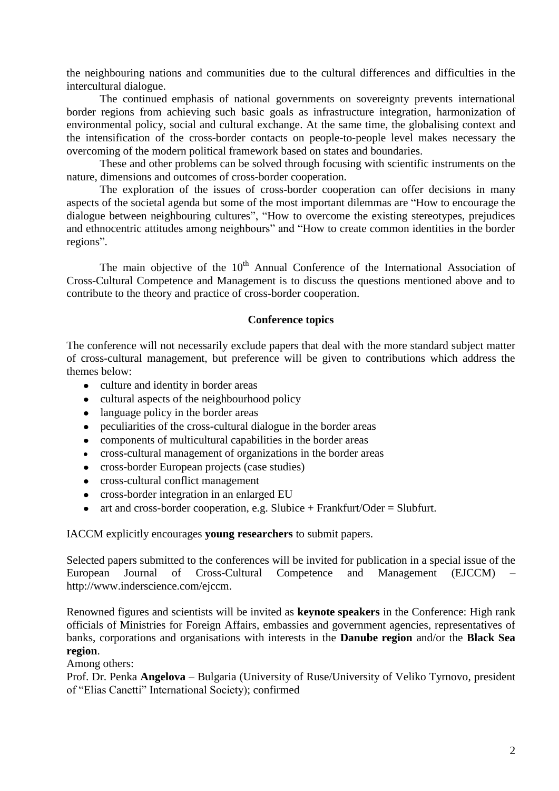the neighbouring nations and communities due to the cultural differences and difficulties in the intercultural dialogue.

The continued emphasis of national governments on sovereignty prevents international border regions from achieving such basic goals as infrastructure integration, harmonization of environmental policy, social and cultural exchange. At the same time, the globalising context and the intensification of the cross-border contacts on people-to-people level makes necessary the overcoming of the modern political framework based on states and boundaries.

These and other problems can be solved through focusing with scientific instruments on the nature, dimensions and outcomes of cross-border cooperation.

The exploration of the issues of cross-border cooperation can offer decisions in many aspects of the societal agenda but some of the most important dilemmas are "How to encourage the dialogue between neighbouring cultures", "How to overcome the existing stereotypes, prejudices and ethnocentric attitudes among neighbours" and "How to create common identities in the border regions".

The main objective of the  $10<sup>th</sup>$  Annual Conference of the International Association of Cross-Cultural Competence and Management is to discuss the questions mentioned above and to contribute to the theory and practice of cross-border cooperation.

#### **Conference topics**

The conference will not necessarily exclude papers that deal with the more standard subject matter of cross-cultural management, but preference will be given to contributions which address the themes below:

- culture and identity in border areas
- cultural aspects of the neighbourhood policy
- language policy in the border areas
- peculiarities of the cross-cultural dialogue in the border areas  $\bullet$
- components of multicultural capabilities in the border areas
- cross-cultural management of organizations in the border areas  $\bullet$
- cross-border European projects (case studies)
- cross-cultural conflict management
- cross-border integration in an enlarged EU
- $\bullet$ art and cross-border cooperation, e.g. Slubice + Frankfurt/Oder = Slubfurt.

IACCM explicitly encourages **young researchers** to submit papers.

Selected papers submitted to the conferences will be invited for publication in a special issue of the European Journal of Cross-Cultural Competence and Management (EJCCM) – http://www.inderscience.com/ejccm.

Renowned figures and scientists will be invited as **keynote speakers** in the Conference: High rank officials of Ministries for Foreign Affairs, embassies and government agencies, representatives of banks, corporations and organisations with interests in the **Danube region** and/or the **Black Sea region**.

Among others:

Prof. Dr. Penka **Angelova** – Bulgaria (University of Ruse/University of Veliko Tyrnovo, president of "Elias Canetti" International Society); confirmed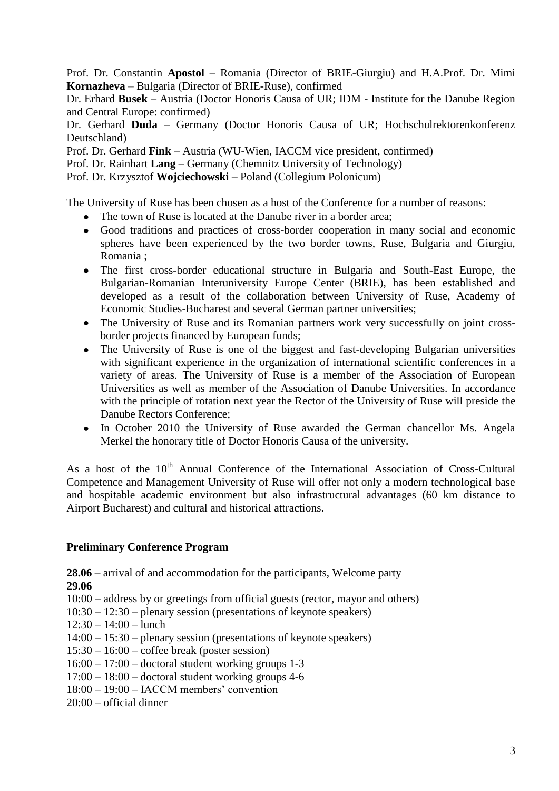Prof. Dr. Constantin **Apostol** – Romania (Director of BRIE-Giurgiu) and H.A.Prof. Dr. Mimi **Kornazheva** – Bulgaria (Director of BRIE-Ruse), confirmed

Dr. Erhard **Busek** – Austria (Doctor Honoris Causa of UR; IDM - Institute for the Danube Region and Central Europe: confirmed)

Dr. Gerhard **Duda** – Germany (Doctor Honoris Causa of UR; Hochschulrektorenkonferenz Deutschland)

Prof. Dr. Gerhard **Fink** – Austria (WU-Wien, IACCM vice president, confirmed)

Prof. Dr. Rainhart **Lang** – Germany (Chemnitz University of Technology)

Prof. Dr. Krzysztof **Wojciechowski** – Poland (Collegium Polonicum)

The University of Ruse has been chosen as a host of the Conference for a number of reasons:

- The town of Ruse is located at the Danube river in a border area:
- Good traditions and practices of cross-border cooperation in many social and economic spheres have been experienced by the two border towns, Ruse, Bulgaria and Giurgiu, Romania ;
- The first cross-border educational structure in Bulgaria and South-East Europe, the Bulgarian-Romanian Interuniversity Europe Center (BRIE), has been established and developed as a result of the collaboration between University of Ruse, Academy of Economic Studies-Bucharest and several German partner universities;
- The University of Ruse and its Romanian partners work very successfully on joint crossborder projects financed by European funds;
- The University of Ruse is one of the biggest and fast-developing Bulgarian universities with significant experience in the organization of international scientific conferences in a variety of areas. The University of Ruse is a member of the Association of European Universities as well as member of the Association of Danube Universities. In accordance with the principle of rotation next year the Rector of the University of Ruse will preside the Danube Rectors Conference;
- In October 2010 the University of Ruse awarded the German chancellor Ms. Angela Merkel the honorary title of Doctor Honoris Causa of the university.

As a host of the 10<sup>th</sup> Annual Conference of the International Association of Cross-Cultural Competence and Management University of Ruse will offer not only a modern technological base and hospitable academic environment but also infrastructural advantages (60 km distance to Airport Bucharest) and cultural and historical attractions.

# **Preliminary Conference Program**

**28.06** – arrival of and accommodation for the participants, Welcome party **29.06**

10:00 – address by or greetings from official guests (rector, mayor and others)

- 10:30 12:30 plenary session (presentations of keynote speakers)
- 12:30 14:00 lunch

14:00 – 15:30 – plenary session (presentations of keynote speakers)

- $15:30 16:00 \text{cofree break}$  (poster session)
- $16:00 17:00$  doctoral student working groups 1-3
- $17:00 18:00 -$  doctoral student working groups 4-6
- 18:00 19:00 IACCM members' convention
- 20:00 official dinner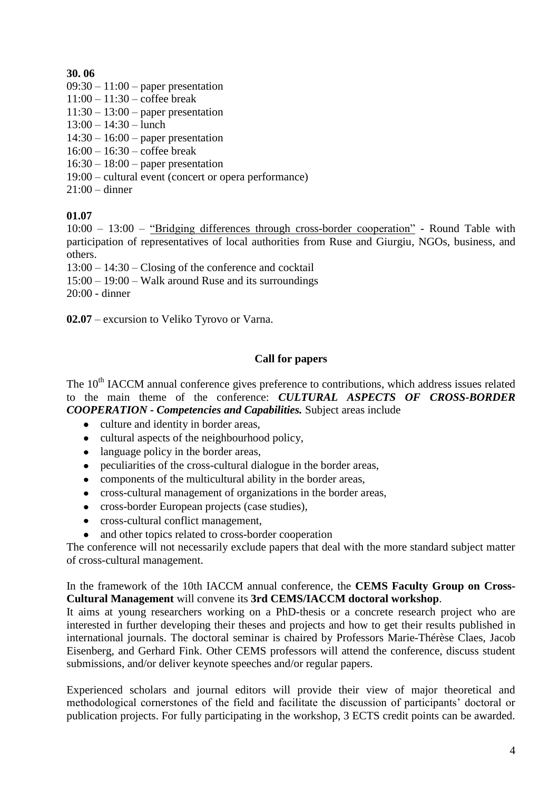# **30. 06**

- $09:30 11:00$  paper presentation
- $11:00 11:30 \text{cofree break}$
- $11:30 13:00$  paper presentation
- $13:00 14:30 -$ lunch
- $14:30 16:00$  paper presentation
- $16:00 16:30 \text{cofree break}$
- $16:30 18:00$  paper presentation
- 19:00 cultural event (concert or opera performance)
- 21:00 dinner

# **01.07**

10:00 – 13:00 – "Bridging differences through cross-border cooperation" - Round Table with participation of representatives of local authorities from Ruse and Giurgiu, NGOs, business, and others.

13:00 – 14:30 – Closing of the conference and cocktail

15:00 – 19:00 – Walk around Ruse and its surroundings

20:00 - dinner

**02.07** – excursion to Veliko Tyrovo or Varna.

# **Call for papers**

The 10<sup>th</sup> IACCM annual conference gives preference to contributions, which address issues related to the main theme of the conference: *CULTURAL ASPECTS OF CROSS-BORDER COOPERATION - Competencies and Capabilities.* Subject areas include

- culture and identity in border areas,
- cultural aspects of the neighbourhood policy,
- language policy in the border areas,
- peculiarities of the cross-cultural dialogue in the border areas,
- components of the multicultural ability in the border areas,
- cross-cultural management of organizations in the border areas,
- cross-border European projects (case studies),
- cross-cultural conflict management,
- $\bullet$ and other topics related to cross-border cooperation

The conference will not necessarily exclude papers that deal with the more standard subject matter of cross-cultural management.

In the framework of the 10th IACCM annual conference, the **CEMS Faculty Group on Cross-Cultural Management** will convene its **3rd CEMS/IACCM doctoral workshop**.

It aims at young researchers working on a PhD-thesis or a concrete research project who are interested in further developing their theses and projects and how to get their results published in international journals. The doctoral seminar is chaired by Professors Marie-Thérèse Claes, Jacob Eisenberg, and Gerhard Fink. Other CEMS professors will attend the conference, discuss student submissions, and/or deliver keynote speeches and/or regular papers.

Experienced scholars and journal editors will provide their view of major theoretical and methodological cornerstones of the field and facilitate the discussion of participants' doctoral or publication projects. For fully participating in the workshop, 3 ECTS credit points can be awarded.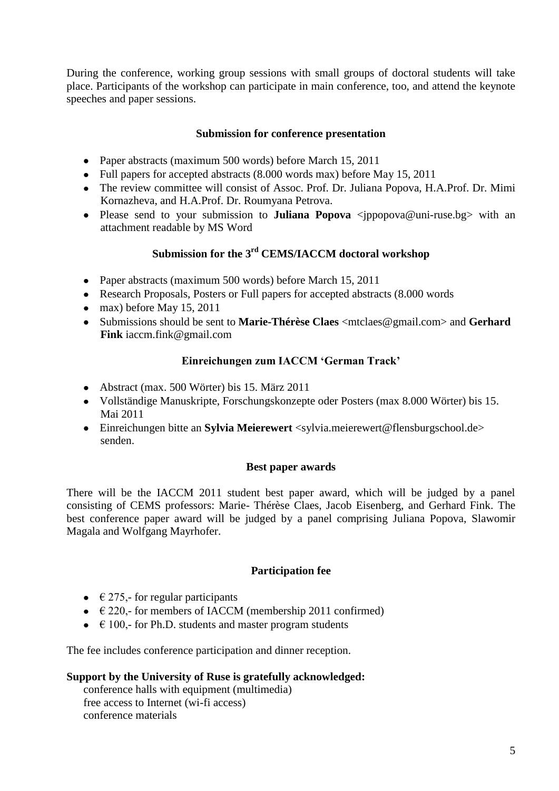During the conference, working group sessions with small groups of doctoral students will take place. Participants of the workshop can participate in main conference, too, and attend the keynote speeches and paper sessions.

#### **Submission for conference presentation**

- Paper abstracts (maximum 500 words) before March 15, 2011
- Full papers for accepted abstracts (8.000 words max) before May 15, 2011
- The review committee will consist of Assoc. Prof. Dr. Juliana Popova, H.A.Prof. Dr. Mimi Kornazheva, and H.A.Prof. Dr. Roumyana Petrova.
- Please send to your submission to **Juliana Popova** <jppopova@uni-ruse.bg> with an attachment readable by MS Word

# **Submission for the 3rd CEMS/IACCM doctoral workshop**

- Paper abstracts (maximum 500 words) before March 15, 2011
- Research Proposals, Posters or Full papers for accepted abstracts (8.000 words)
- $\bullet$  max) before May 15, 2011
- Submissions should be sent to **Marie-Thérèse Claes** <mtclaes@gmail.com> and **Gerhard Fink** iaccm.fink@gmail.com

# **Einreichungen zum IACCM 'German Track'**

- Abstract (max. 500 Wörter) bis 15. März 2011
- Vollständige Manuskripte, Forschungskonzepte oder Posters (max 8.000 Wörter) bis 15. Mai 2011
- Einreichungen bitte an **Sylvia Meierewert** <sylvia.meierewert@flensburgschool.de> senden.

# **Best paper awards**

There will be the IACCM 2011 student best paper award, which will be judged by a panel consisting of CEMS professors: Marie- Thérèse Claes, Jacob Eisenberg, and Gerhard Fink. The best conference paper award will be judged by a panel comprising Juliana Popova, Slawomir Magala and Wolfgang Mayrhofer.

# **Participation fee**

- $\bullet$   $\in$  275,- for regular participants
- $\bullet$   $\in$  220,- for members of IACCM (membership 2011 confirmed)
- $\bullet$   $\in$  100,- for Ph.D. students and master program students

The fee includes conference participation and dinner reception.

# **Support by the University of Ruse is gratefully acknowledged:**

conference halls with equipment (multimedia) free access to Internet (wi-fi access) conference materials